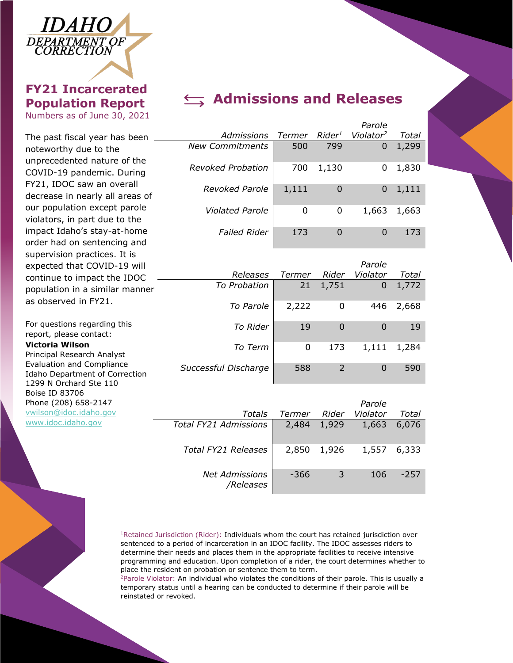

## **FY21 Incarcerated Population Report**

Numbers as of June 30, 2021

unprecedented nature of the COVID-19 pandemic. During FY21, IDOC saw an overall decrease in nearly all areas of our population except parole violators, in part due to the impact Idaho's stay-at-home order had on sentencing and supervision practices. It is

Boise ID 83706

Phone (208) 658-2147 [vwilson@idoc.idaho.gov](mailto:vwilson@idoc.idaho.gov) [www.idoc.idaho.gov](http://www.idoc.idaho.gov/)

# **Admissions and Releases**

|                                                               |                        |        |                    | Parole                |       |
|---------------------------------------------------------------|------------------------|--------|--------------------|-----------------------|-------|
| The past fiscal year has been                                 | Admissions             | Termer | Rider <sup>1</sup> | Violator <sup>2</sup> | Total |
| noteworthy due to the<br>unprecedented nature of the          | <b>New Commitments</b> | 500    | 799                | 0                     | 1,299 |
| COVID-19 pandemic. During                                     | Revoked Probation      | 700    | 1,130              | 0                     | 1,830 |
| FY21, IDOC saw an overall<br>decrease in nearly all areas of  | <b>Revoked Parole</b>  | 1,111  | 0                  | 0                     | 1,111 |
| our population except parole<br>violators, in part due to the | <b>Violated Parole</b> | 0      | 0                  | 1,663                 | 1,663 |
| impact Idaho's stay-at-home<br>ardar had an cantancing and    | <b>Failed Rider</b>    | 173    | $\Omega$           | 0                     | 173   |

| expected that COVID-19 will                                                           |                      |        |       | Parole   |       |
|---------------------------------------------------------------------------------------|----------------------|--------|-------|----------|-------|
| continue to impact the IDOC                                                           | Releases             | Termer | Rider | Violator | Total |
| population in a similar manner                                                        | To Probation         | 21     | 1,751 | 0        | 1,772 |
| as observed in FY21.                                                                  | To Parole            | 2,222  | 0     | 446      | 2,668 |
| For questions regarding this<br>report, please contact:                               | To Rider             | 19     | 0     | $\Omega$ | 19    |
| Victoria Wilson<br>Principal Research Analyst                                         | To Term              | 0      | 173   | 1,111    | 1,284 |
| Evaluation and Compliance<br>Idaho Department of Correction<br>1299 N Orchard Ste 110 | Successful Discharge | 588    |       | $\Omega$ | 590   |

|                                    |        |       | Parole   |        |
|------------------------------------|--------|-------|----------|--------|
| Totals                             | Termer | Rider | Violator | Total  |
| Total FY21 Admissions              | 2,484  | 1,929 | 1,663    | 6,076  |
| <b>Total FY21 Releases</b>         | 2,850  | 1,926 | 1,557    | 6,333  |
| <b>Net Admissions</b><br>/Releases | -366   | -3    | 106      | $-257$ |

<sup>1</sup>Retained Jurisdiction (Rider): Individuals whom the court has retained jurisdiction over sentenced to a period of incarceration in an IDOC facility. The IDOC assesses riders to determine their needs and places them in the appropriate facilities to receive intensive programming and education. Upon completion of a rider, the court determines whether to place the resident on probation or sentence them to term.

 $2P$ arole Violator: An individual who violates the conditions of their parole. This is usually a temporary status until a hearing can be conducted to determine if their parole will be reinstated or revoked.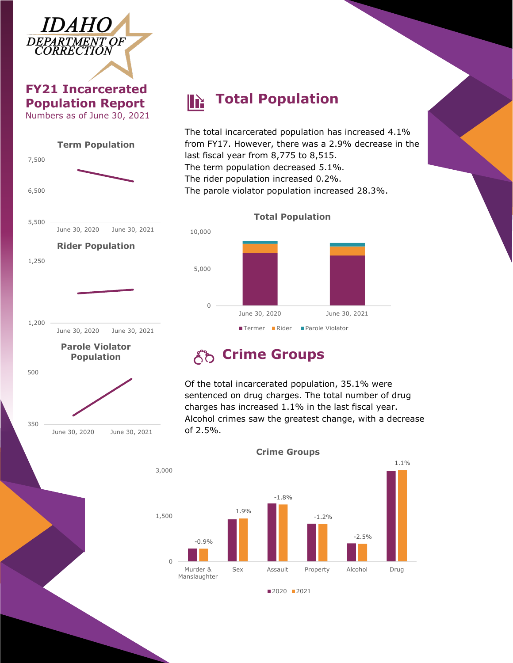

### **FY21 Incarcerated Population Report** Numbers as of June 30, 2021



June 30, 2020 June 30, 2021

350

#### **Total Population** IN

The total incarcerated population has increased 4.1% from FY17. However, there was a 2.9% decrease in the last fiscal year from 8,775 to 8,515. The term population decreased 5.1%. The rider population increased 0.2%.

The parole violator population increased 28.3%.



### **Total Population**

# **Crime Groups**

Of the total incarcerated population, 35.1% were sentenced on drug charges. The total number of drug charges has increased 1.1% in the last fiscal year. Alcohol crimes saw the greatest change, with a decrease of 2.5%.



#### **Crime Groups**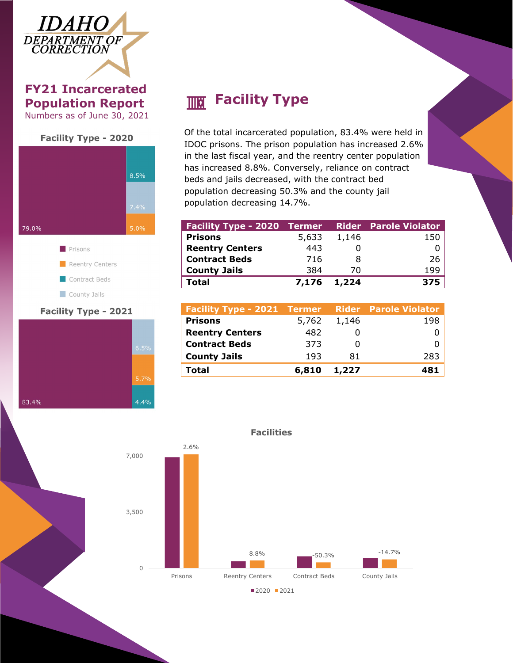

**FY21 Incarcerated Population Report** Numbers as of June 30, 2021





### **Facility Type - 2021**



# **Facility** Type

Of the total incarcerated population, 83.4% were held in IDOC prisons. The prison population has increased 2.6% in the last fiscal year, and the reentry center population has increased 8.8%. Conversely, reliance on contract beds and jails decreased, with the contract bed population decreasing 50.3% and the county jail population decreasing 14.7%.

| <b>Facility Type - 2020 Termer</b> |             |       | <b>Rider</b> Parole Violator |
|------------------------------------|-------------|-------|------------------------------|
| <b>Prisons</b>                     | 5,633       | 1,146 | 150                          |
| <b>Reentry Centers</b>             | 443         |       |                              |
| <b>Contract Beds</b>               | 716         | 8     | 26                           |
| <b>County Jails</b>                | 384         | 70    | 199                          |
| Total                              | 7,176 1,224 |       | 375                          |

| 5,762 | 1,146 | 198                                                      |
|-------|-------|----------------------------------------------------------|
| 482   |       |                                                          |
| 373   |       |                                                          |
| 193   | 81    | 283                                                      |
| 6,810 | 1,227 | 481                                                      |
|       |       | <b>Facility Type - 2021 Termer Rider Parole Violator</b> |